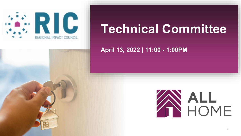

# **Technical Committee**

**April 13, 2022 | 11:00 - 1:00PM**

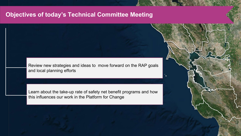## **Objectives of today's Technical Committee Meeting**

Review new strategies and ideas to move forward on the RAP goals and local planning efforts

Learn about the take-up rate of safety net benefit programs and how this influences our work in the Platform for Change

1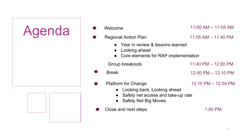

| Welcome                                                                                                                        | 11:00 AM - 11:05 AM     |
|--------------------------------------------------------------------------------------------------------------------------------|-------------------------|
| <b>Regional Action Plan</b>                                                                                                    | $11:05$ AM $- 11:40$ PM |
| • Year in review & lessons learned<br>Looking ahead<br>Core elements for RAP implementation                                    |                         |
| Group breakouts                                                                                                                | $11:40$ PM $- 12:00$ PM |
| <b>Break</b>                                                                                                                   | 12:00 PM - 12:10 PM     |
| <b>Platform for Change</b><br>Looking back, Looking ahead<br>Safety net access and take-up rate<br><b>Safety Net Big Moves</b> | 12:10 PM - 12:55 PM     |
| Close and next steps                                                                                                           | 1:00 PM                 |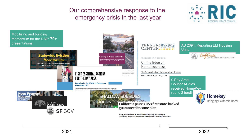Our comprehensive response to the emergency crisis in the last year





2021 2022

3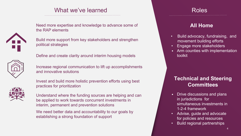## What we've learned



Need more expertise and knowledge to advance some of the RAP elements

Build more support from key stakeholders and strengthen political strategies

Define and create clarity around interim housing models



Increase regional communication to lift up accomplishments and innovative solutions



Invest and build more holistic prevention efforts using best practices for prioritization

Understand where the funding sources are helping and can be applied to work towards concurrent investments in interim, permanent and prevention solutions

We need better data and accountability to our goals by establishing a strong foundation of support

### Roles

### **All Home**

- Build advocacy, fundraising, and movement building efforts
- Engage more stakeholders
- Arm counties with implementation toolkit

## **Technical and Steering Committees**

- Drive discussions and plans in jurisdictions for simultaneous investments in 1-2-4 framework
- Advise, guide and advocate for policies and resources
- Build regional partnerships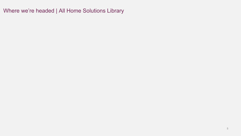Where we're headed | All Home Solutions Library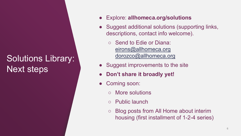## Solutions Library: Next steps

- Explore: **allhomeca.org/solutions**
- Suggest additional solutions (supporting links, descriptions, contact info welcome).
	- Send to Edie or Diana: [eirons@allhomeca.org](mailto:eirons@allhomeca.org) [dorozco@allhomeca.org](mailto:dorozco@allhomeca.org)
- Suggest improvements to the site
- **Don't share it broadly yet!**
- Coming soon:
	- More solutions
	- Public launch
	- Blog posts from All Home about interim housing (first installment of 1-2-4 series)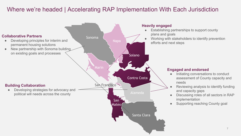## Where we're headed | Accelerating RAP Implementation With Each Jurisdiction

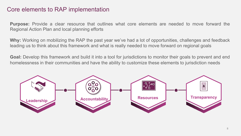### Core elements to RAP implementation

**Purpose:** Provide a clear resource that outlines what core elements are needed to move forward the Regional Action Plan and local planning efforts

**Why:** Working on mobilizing the RAP the past year we've had a lot of opportunities, challenges and feedback leading us to think about this framework and what is really needed to move forward on regional goals

**Goal:** Develop this framework and build it into a tool for jurisdictions to monitor their goals to prevent and end homelessness in their communities and have the ability to customize these elements to jurisdiction needs

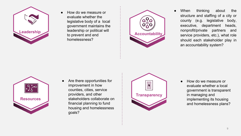

**Leadership Accountability**<br> **Accountability**<br> **Accountability** ● How do we measure or evaluate whether the legislative body of a local government maintains the leadership or political will to prevent and end homelessness?



When thinking about the structure and staffing of a city or county (e.g. legislative body, executive, department heads, nonprofit/private partners and service providers, etc.), what role should each stakeholder play in an accountability system?



● Are there opportunities for improvement in how counties, cities, service providers, and other stakeholders collaborate on financial planning to fund housing and homelessness goals?



● How do we measure or evaluate whether a local government is transparent in managing and implementing its housing and homelessness plans?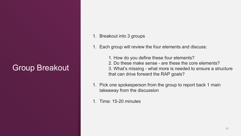## Group Breakout

- 1. Breakout into 3 groups
- 1. Each group will review the four elements and discuss:
	- 1. How do you define these four elements?
	- 2. Do these make sense are these the core elements?
	- 3. What's missing what more is needed to ensure a structure that can drive forward the RAP goals?
- 1. Pick one spokesperson from the group to report back 1 main takeaway from the discussion
- 1. Time: 15-20 minutes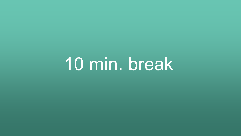10 min. break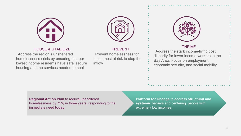



#### HOUSE & STABILIZE

Address the region's unsheltered homelessness crisis by ensuring that our lowest income residents have safe, secure housing and the services needed to heal

Prevent homelessness for those most at risk to stop the inflow

PREVENT



#### **THRIVE**

Address the stark income/living cost disparity for lower income workers in the Bay Area. Focus on employment, economic security, and social mobility

**Regional Action Plan** to reduce unsheltered homelessness by 75% in three years, responding to the immediate need **today**

**Platform for Change** to address **structural and systemic** barriers and centering people with extremely low incomes.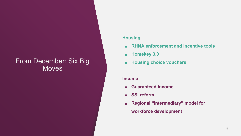## From December: Six Big **Moves**

#### **Housing**

- **RHNA enforcement and incentive tools**
- **Homekey 3.0**
- **Housing choice vouchers**

#### **Income**

- **Guaranteed income**
- **SSI reform**
- **Regional "intermediary" model for workforce development**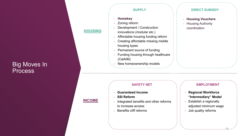## **Big Moves In** Process

#### **SUPPLY**

﹘ **Homekey** 

**HOUSING**

**INCOME**

- Zoning reform
- Development / Construction innovations (modular etc.)
- ﹘ Affordable housing funding reform
- ﹘ Creating affordable missing middle housing types
- Permanent source of funding
- Funding housing through healthcare (CalAIM)
- ﹘ New homeownership models

#### **DIRECT SUBSIDY**

- ﹘ **Housing Vouchers**
- Housing Authority coordination

#### **SAFETY NET**

- ﹘ **Guaranteed Income**
- ﹘ **SSI Reform**
- ﹘ Integrated benefits and other reforms to increase access
- ﹘ Benefits cliff reforms

#### **EMPLOYMENT**

- ﹘ **Regional Workforce "Intermediary" Model**
- Establish a regionally
- adjusted minimum wage

14

﹘ Job quality reforms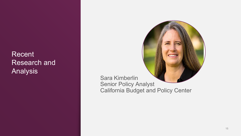Recent Research and Analysis



Sara Kimberlin Senior Policy Analyst California Budget and Policy Center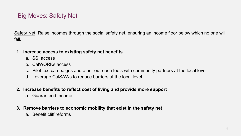## Big Moves: Safety Net

Safety Net: Raise incomes through the social safety net, ensuring an income floor below which no one will fall.

#### **1. Increase access to existing safety net benefits**

- a. SSI access
- b. CalWORKs access
- c. Pilot text campaigns and other outreach tools with community partners at the local level
- d. Leverage CalSAWs to reduce barriers at the local level
- **2. Increase benefits to reflect cost of living and provide more support**
	- a. Guaranteed Income
- **3. Remove barriers to economic mobility that exist in the safety net**
	- a. Benefit cliff reforms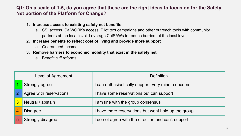#### **Q1: On a scale of 1-5, do you agree that these are the right ideas to focus on for the Safety Net portion of the Platform for Change?**

- **1. Increase access to existing safety net benefits**
	- a. SSI access, CalWORKs access, Pilot text campaigns and other outreach tools with community partners at the local level, Leverage CalSAWs to reduce barriers at the local level
- **2. Increase benefits to reflect cost of living and provide more support**
	- a. Guaranteed Income
- **3. Remove barriers to economic mobility that exist in the safety net**
	- a. Benefit cliff reforms

| Level of Agreement |                         | Definition                                          |  |
|--------------------|-------------------------|-----------------------------------------------------|--|
|                    | Strongly agree          | I can enthusiastically support, very minor concerns |  |
|                    | Agree with reservations | I have some reservations but can support            |  |
|                    | Neutral / abstain       | I am fine with the group consensus                  |  |
|                    | <b>Disagree</b>         | I have more reservations but wont hold up the group |  |
|                    | Strongly disagree       | I do not agree with the direction and can't support |  |